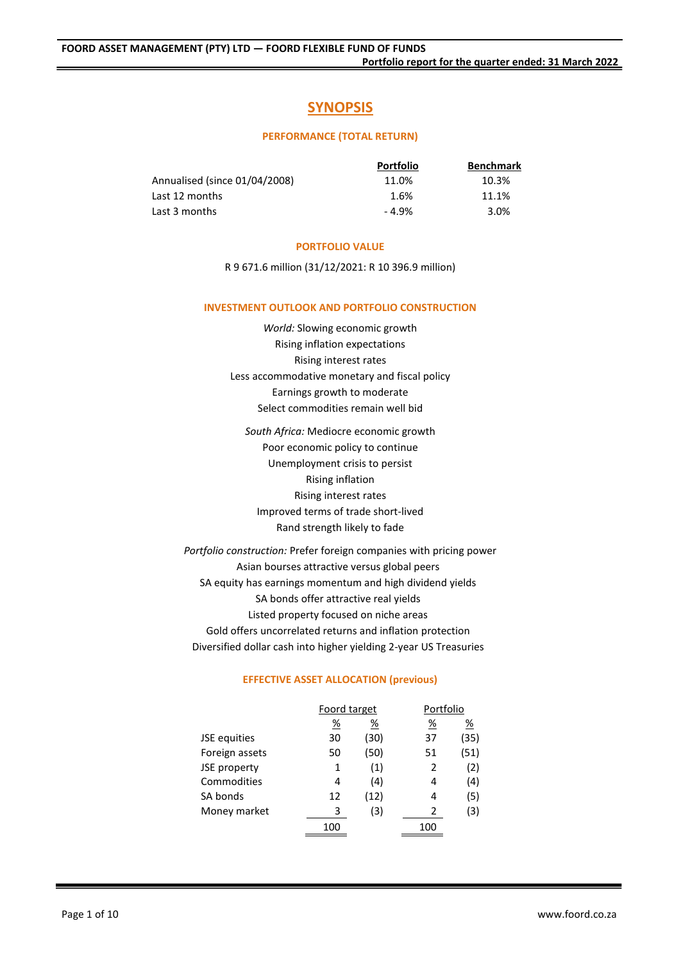# **SYNOPSIS**

# **PERFORMANCE (TOTAL RETURN)**

|                               | <b>Portfolio</b> | <b>Benchmark</b> |
|-------------------------------|------------------|------------------|
| Annualised (since 01/04/2008) | 11.0%            | 10.3%            |
| Last 12 months                | 1.6%             | 11.1%            |
| Last 3 months                 | $-4.9%$          | 3.0%             |

# **PORTFOLIO VALUE**

R 9 671.6 million (31/12/2021: R 10 396.9 million)

# **INVESTMENT OUTLOOK AND PORTFOLIO CONSTRUCTION**

*World:* Slowing economic growth Rising inflation expectations Rising interest rates Less accommodative monetary and fiscal policy Earnings growth to moderate Select commodities remain well bid

*South Africa:* Mediocre economic growth Poor economic policy to continue Unemployment crisis to persist Rising inflation Rising interest rates Improved terms of trade short-lived Rand strength likely to fade

*Portfolio construction:* Prefer foreign companies with pricing power Asian bourses attractive versus global peers SA equity has earnings momentum and high dividend yields SA bonds offer attractive real yields Listed property focused on niche areas Gold offers uncorrelated returns and inflation protection Diversified dollar cash into higher yielding 2-year US Treasuries

# **EFFECTIVE ASSET ALLOCATION (previous)**

|                | Foord target |          | Portfolio       |      |
|----------------|--------------|----------|-----------------|------|
|                | <u>%</u>     | <u>%</u> | $\frac{\%}{\%}$ | %    |
| JSE equities   | 30           | (30)     | 37              | (35) |
| Foreign assets | 50           | (50)     | 51              | (51) |
| JSE property   | 1            | (1)      | 2               | (2)  |
| Commodities    | 4            | (4)      | 4               | (4)  |
| SA bonds       | 12           | (12)     | 4               | (5)  |
| Money market   | 3            | (3)      | 2               | (3)  |
|                | 100          |          | 100             |      |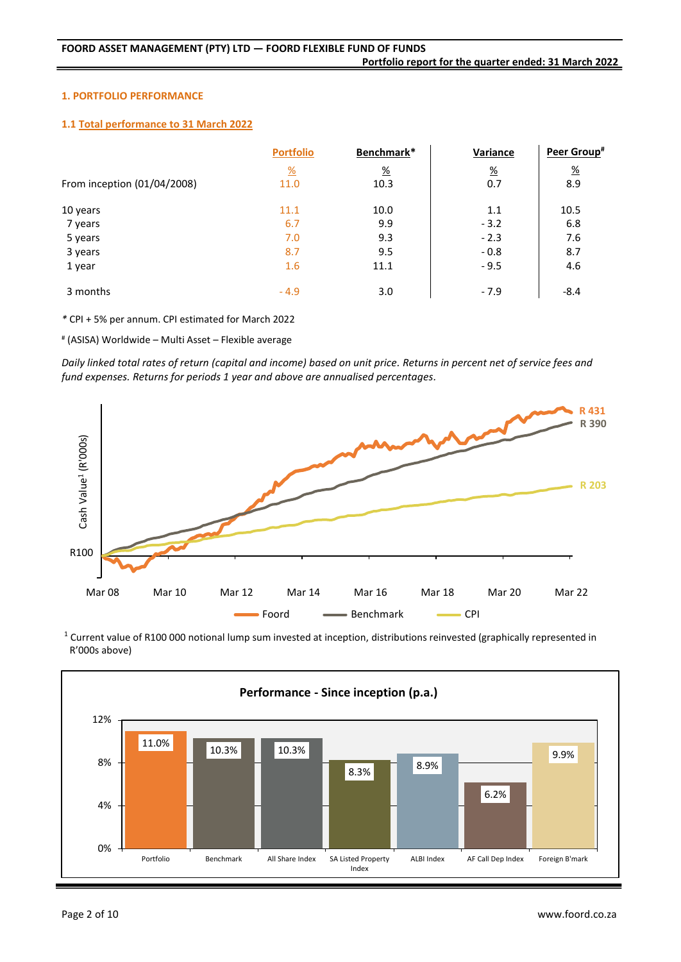# **1. PORTFOLIO PERFORMANCE**

# **1.1 Total performance to 31 March 2022**

|                             | <b>Portfolio</b>      | Benchmark*      | Variance      | Peer Group <sup>#</sup> |
|-----------------------------|-----------------------|-----------------|---------------|-------------------------|
|                             | $\frac{\%}{\sqrt{2}}$ | $\frac{\%}{\%}$ | $\frac{9}{6}$ | $\frac{\%}{\%}$         |
| From inception (01/04/2008) | 11.0                  | 10.3            | 0.7           | 8.9                     |
| 10 years                    | 11.1                  | 10.0            | 1.1           | 10.5                    |
| 7 years                     | 6.7                   | 9.9             | $-3.2$        | 6.8                     |
| 5 years                     | 7.0                   | 9.3             | $-2.3$        | 7.6                     |
| 3 years                     | 8.7                   | 9.5             | $-0.8$        | 8.7                     |
| 1 year                      | 1.6                   | 11.1            | $-9.5$        | 4.6                     |
| 3 months                    | $-4.9$                | 3.0             | $-7.9$        | $-8.4$                  |

*\** CPI + 5% per annum. CPI estimated for March 2022

# (ASISA) Worldwide – Multi Asset – Flexible average

*Daily linked total rates of return (capital and income) based on unit price. Returns in percent net of service fees and fund expenses. Returns for periods 1 year and above are annualised percentages.*



<sup>1</sup> Current value of R100 000 notional lump sum invested at inception, distributions reinvested (graphically represented in R'000s above)

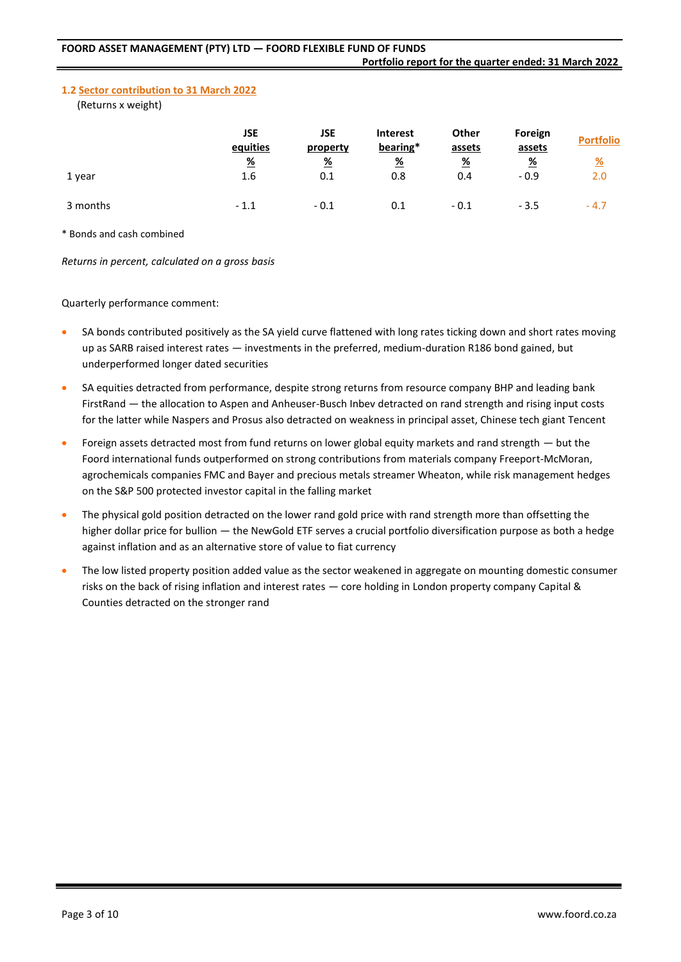# **1.2 Sector contribution to 31 March 2022**

(Returns x weight)

|          | <b>JSE</b><br>equities | <b>JSE</b><br>property | <b>Interest</b><br>bearing*  | Other<br>assets | Foreign<br>assets       | <b>Portfolio</b>     |
|----------|------------------------|------------------------|------------------------------|-----------------|-------------------------|----------------------|
| 1 year   | $\frac{9}{6}$<br>1.6   | <u>%</u><br>0.1        | $\frac{\%}{\sqrt{2}}$<br>0.8 | <u>%</u><br>0.4 | $\frac{9}{6}$<br>$-0.9$ | $\frac{9}{6}$<br>2.0 |
| 3 months | $-1.1$                 | $-0.1$                 | 0.1                          | $-0.1$          | $-3.5$                  | $-4.7$               |

\* Bonds and cash combined

*Returns in percent, calculated on a gross basis*

Quarterly performance comment:

- SA bonds contributed positively as the SA yield curve flattened with long rates ticking down and short rates moving up as SARB raised interest rates — investments in the preferred, medium-duration R186 bond gained, but underperformed longer dated securities
- SA equities detracted from performance, despite strong returns from resource company BHP and leading bank FirstRand — the allocation to Aspen and Anheuser-Busch Inbev detracted on rand strength and rising input costs for the latter while Naspers and Prosus also detracted on weakness in principal asset, Chinese tech giant Tencent
- Foreign assets detracted most from fund returns on lower global equity markets and rand strength but the Foord international funds outperformed on strong contributions from materials company Freeport-McMoran, agrochemicals companies FMC and Bayer and precious metals streamer Wheaton, while risk management hedges on the S&P 500 protected investor capital in the falling market
- The physical gold position detracted on the lower rand gold price with rand strength more than offsetting the higher dollar price for bullion — the NewGold ETF serves a crucial portfolio diversification purpose as both a hedge against inflation and as an alternative store of value to fiat currency
- The low listed property position added value as the sector weakened in aggregate on mounting domestic consumer risks on the back of rising inflation and interest rates — core holding in London property company Capital & Counties detracted on the stronger rand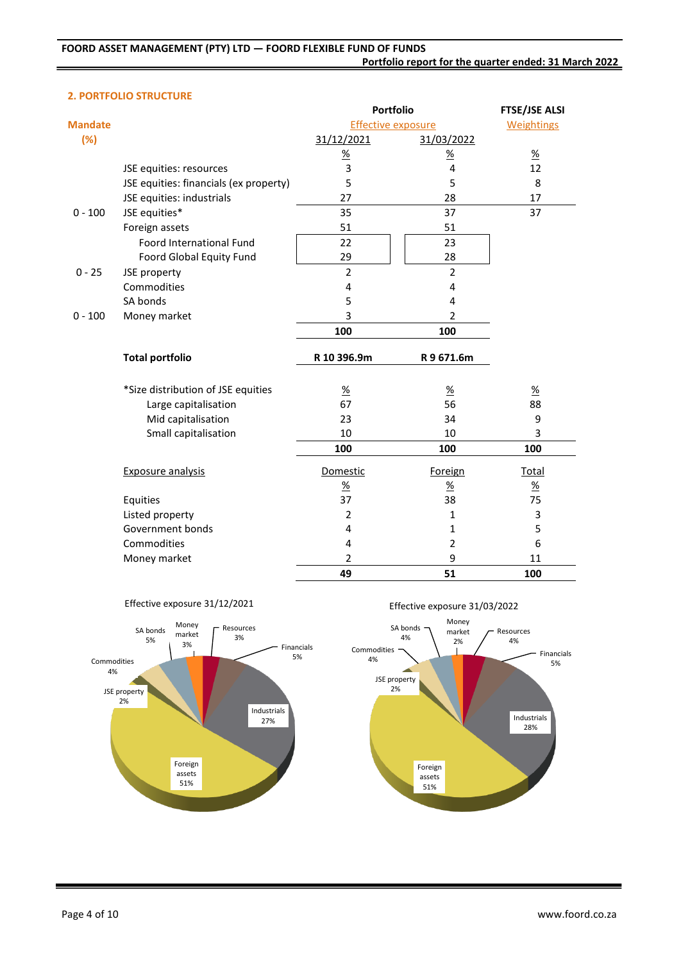#### **2. PORTFOLIO STRUCTURE**

|                |                                        | <b>Portfolio</b>          |                 | <b>FTSE/JSE ALSI</b> |
|----------------|----------------------------------------|---------------------------|-----------------|----------------------|
| <b>Mandate</b> |                                        | <b>Effective exposure</b> |                 | <b>Weightings</b>    |
| (%)            |                                        | 31/12/2021                | 31/03/2022      |                      |
|                |                                        | $\frac{\%}{\%}$           | $\frac{\%}{\%}$ | $\frac{9}{6}$        |
|                | JSE equities: resources                | 3                         | 4               | 12                   |
|                | JSE equities: financials (ex property) | 5                         | 5               | 8                    |
|                | JSE equities: industrials              | 27                        | 28              | 17                   |
| $0 - 100$      | JSE equities*                          | 35                        | 37              | 37                   |
|                | Foreign assets                         | 51                        | 51              |                      |
|                | Foord International Fund               | 22                        | 23              |                      |
|                | Foord Global Equity Fund               | 29                        | 28              |                      |
| $0 - 25$       | JSE property                           | $\overline{2}$            | $\overline{2}$  |                      |
|                | Commodities                            | 4                         | $\overline{4}$  |                      |
|                | SA bonds                               | 5                         | 4               |                      |
| $0 - 100$      | Money market                           | 3                         | $\overline{2}$  |                      |
|                |                                        | 100                       | 100             |                      |
|                | <b>Total portfolio</b>                 | R 10 396.9m               | R9671.6m        |                      |
|                | *Size distribution of JSE equities     | $\underline{\%}$          | $\frac{9}{6}$   | $\underline{\%}$     |
|                | Large capitalisation                   | 67                        | 56              | 88                   |
|                | Mid capitalisation                     | 23                        | 34              | 9                    |
|                | Small capitalisation                   | 10                        | 10              | 3                    |
|                |                                        | 100                       | 100             | 100                  |
|                | <b>Exposure analysis</b>               | Domestic                  | Foreign         | <b>Total</b>         |
|                |                                        | $\%$                      | $\frac{9}{6}$   | $\frac{9}{6}$        |
|                | Equities                               | 37                        | 38              | 75                   |
|                | Listed property                        | $\overline{2}$            | 1               | 3                    |
|                | Government bonds                       | 4                         | 1               | 5                    |
|                | Commodities                            | 4                         | 2               | 6                    |
|                | Money market                           | 2                         | 9               | 11                   |
|                |                                        | 49                        | 51              | 100                  |





Effective exposure 31/03/2022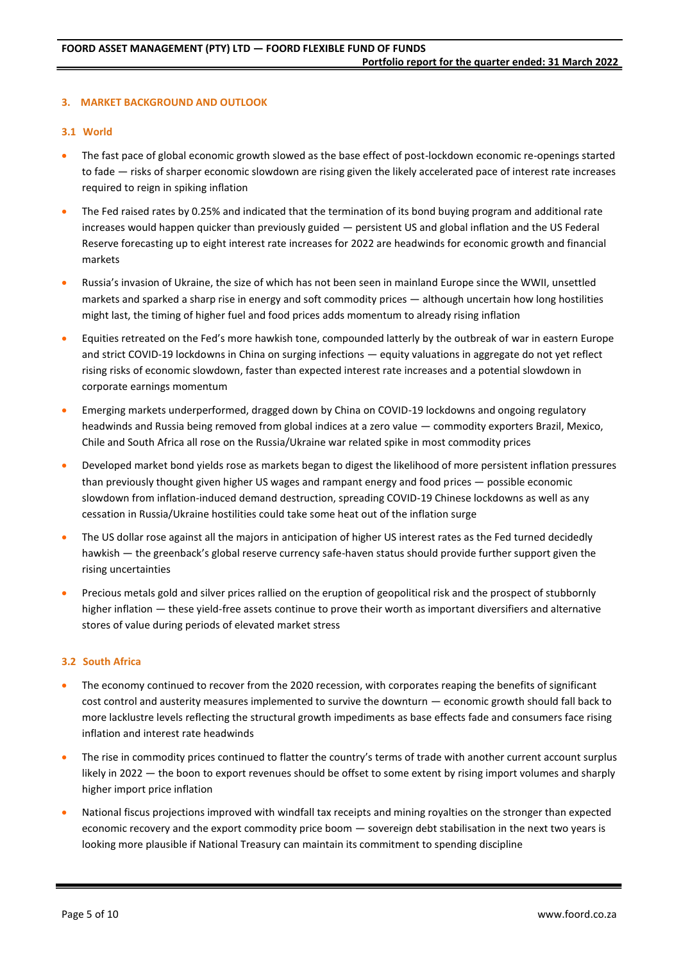# **3. MARKET BACKGROUND AND OUTLOOK**

# **3.1 World**

- The fast pace of global economic growth slowed as the base effect of post-lockdown economic re-openings started to fade — risks of sharper economic slowdown are rising given the likely accelerated pace of interest rate increases required to reign in spiking inflation
- The Fed raised rates by 0.25% and indicated that the termination of its bond buying program and additional rate increases would happen quicker than previously guided — persistent US and global inflation and the US Federal Reserve forecasting up to eight interest rate increases for 2022 are headwinds for economic growth and financial markets
- Russia's invasion of Ukraine, the size of which has not been seen in mainland Europe since the WWII, unsettled markets and sparked a sharp rise in energy and soft commodity prices — although uncertain how long hostilities might last, the timing of higher fuel and food prices adds momentum to already rising inflation
- Equities retreated on the Fed's more hawkish tone, compounded latterly by the outbreak of war in eastern Europe and strict COVID-19 lockdowns in China on surging infections — equity valuations in aggregate do not yet reflect rising risks of economic slowdown, faster than expected interest rate increases and a potential slowdown in corporate earnings momentum
- Emerging markets underperformed, dragged down by China on COVID-19 lockdowns and ongoing regulatory headwinds and Russia being removed from global indices at a zero value — commodity exporters Brazil, Mexico, Chile and South Africa all rose on the Russia/Ukraine war related spike in most commodity prices
- Developed market bond yields rose as markets began to digest the likelihood of more persistent inflation pressures than previously thought given higher US wages and rampant energy and food prices — possible economic slowdown from inflation-induced demand destruction, spreading COVID-19 Chinese lockdowns as well as any cessation in Russia/Ukraine hostilities could take some heat out of the inflation surge
- The US dollar rose against all the majors in anticipation of higher US interest rates as the Fed turned decidedly hawkish — the greenback's global reserve currency safe-haven status should provide further support given the rising uncertainties
- Precious metals gold and silver prices rallied on the eruption of geopolitical risk and the prospect of stubbornly higher inflation — these yield-free assets continue to prove their worth as important diversifiers and alternative stores of value during periods of elevated market stress

#### **3.2 South Africa**

- The economy continued to recover from the 2020 recession, with corporates reaping the benefits of significant cost control and austerity measures implemented to survive the downturn — economic growth should fall back to more lacklustre levels reflecting the structural growth impediments as base effects fade and consumers face rising inflation and interest rate headwinds
- The rise in commodity prices continued to flatter the country's terms of trade with another current account surplus likely in 2022 — the boon to export revenues should be offset to some extent by rising import volumes and sharply higher import price inflation
- National fiscus projections improved with windfall tax receipts and mining royalties on the stronger than expected economic recovery and the export commodity price boom — sovereign debt stabilisation in the next two years is looking more plausible if National Treasury can maintain its commitment to spending discipline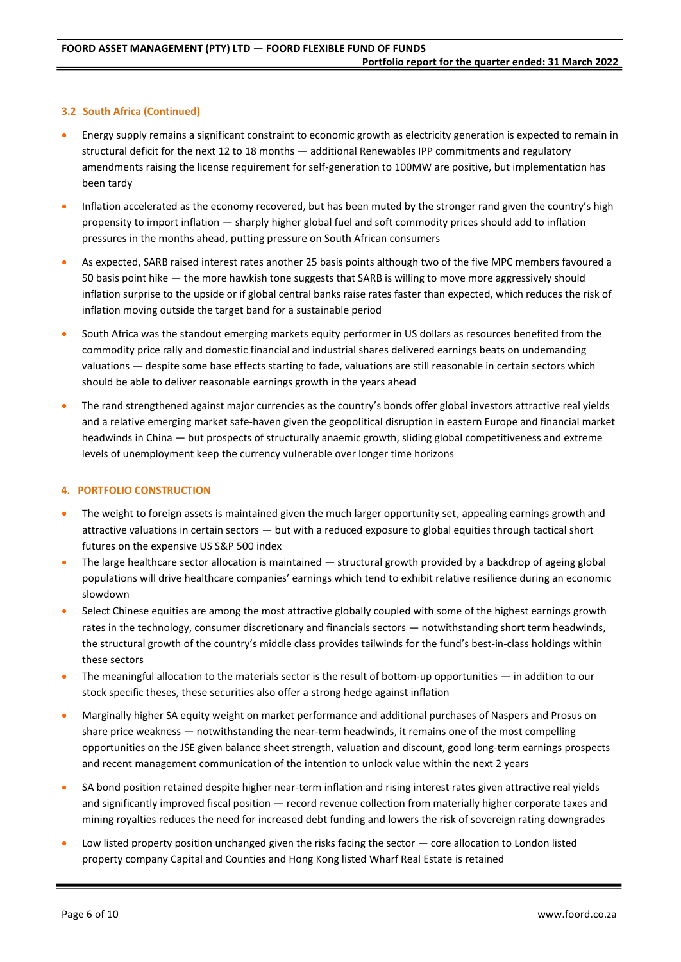# **3.2 South Africa (Continued)**

- Energy supply remains a significant constraint to economic growth as electricity generation is expected to remain in structural deficit for the next 12 to 18 months — additional Renewables IPP commitments and regulatory amendments raising the license requirement for self-generation to 100MW are positive, but implementation has been tardy
- Inflation accelerated as the economy recovered, but has been muted by the stronger rand given the country's high propensity to import inflation — sharply higher global fuel and soft commodity prices should add to inflation pressures in the months ahead, putting pressure on South African consumers
- As expected, SARB raised interest rates another 25 basis points although two of the five MPC members favoured a 50 basis point hike — the more hawkish tone suggests that SARB is willing to move more aggressively should inflation surprise to the upside or if global central banks raise rates faster than expected, which reduces the risk of inflation moving outside the target band for a sustainable period
- South Africa was the standout emerging markets equity performer in US dollars as resources benefited from the commodity price rally and domestic financial and industrial shares delivered earnings beats on undemanding valuations — despite some base effects starting to fade, valuations are still reasonable in certain sectors which should be able to deliver reasonable earnings growth in the years ahead
- The rand strengthened against major currencies as the country's bonds offer global investors attractive real yields and a relative emerging market safe-haven given the geopolitical disruption in eastern Europe and financial market headwinds in China — but prospects of structurally anaemic growth, sliding global competitiveness and extreme levels of unemployment keep the currency vulnerable over longer time horizons

# **4. PORTFOLIO CONSTRUCTION**

- The weight to foreign assets is maintained given the much larger opportunity set, appealing earnings growth and attractive valuations in certain sectors — but with a reduced exposure to global equities through tactical short futures on the expensive US S&P 500 index
- The large healthcare sector allocation is maintained structural growth provided by a backdrop of ageing global populations will drive healthcare companies' earnings which tend to exhibit relative resilience during an economic slowdown
- Select Chinese equities are among the most attractive globally coupled with some of the highest earnings growth rates in the technology, consumer discretionary and financials sectors — notwithstanding short term headwinds, the structural growth of the country's middle class provides tailwinds for the fund's best-in-class holdings within these sectors
- The meaningful allocation to the materials sector is the result of bottom-up opportunities in addition to our stock specific theses, these securities also offer a strong hedge against inflation
- Marginally higher SA equity weight on market performance and additional purchases of Naspers and Prosus on share price weakness — notwithstanding the near-term headwinds, it remains one of the most compelling opportunities on the JSE given balance sheet strength, valuation and discount, good long-term earnings prospects and recent management communication of the intention to unlock value within the next 2 years
- SA bond position retained despite higher near-term inflation and rising interest rates given attractive real yields and significantly improved fiscal position — record revenue collection from materially higher corporate taxes and mining royalties reduces the need for increased debt funding and lowers the risk of sovereign rating downgrades
- Low listed property position unchanged given the risks facing the sector core allocation to London listed property company Capital and Counties and Hong Kong listed Wharf Real Estate is retained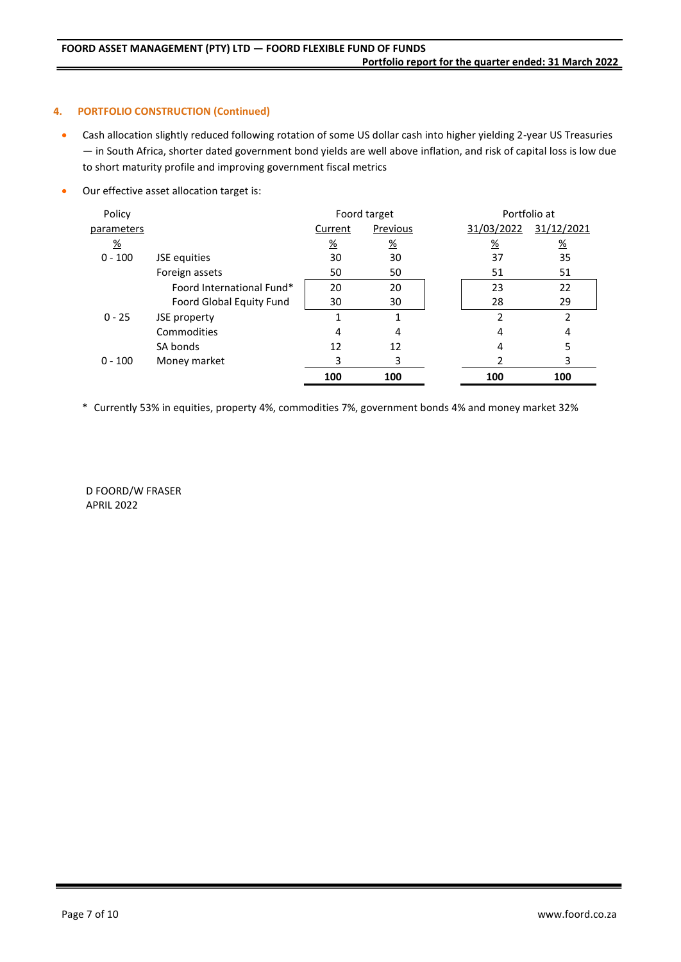# **4. PORTFOLIO CONSTRUCTION (Continued)**

- Cash allocation slightly reduced following rotation of some US dollar cash into higher yielding 2-year US Treasuries — in South Africa, shorter dated government bond yields are well above inflation, and risk of capital loss is low due to short maturity profile and improving government fiscal metrics
- Our effective asset allocation target is:

| Policy        |                           | Foord target    |               |  | Portfolio at  |               |
|---------------|---------------------------|-----------------|---------------|--|---------------|---------------|
| parameters    |                           | Current         | Previous      |  | 31/03/2022    | 31/12/2021    |
| $\frac{9}{6}$ |                           | $\frac{\%}{\%}$ | $\frac{9}{6}$ |  | $\frac{9}{6}$ | $\frac{9}{6}$ |
| $0 - 100$     | JSE equities              | 30              | 30            |  | 37            | 35            |
|               | Foreign assets            | 50              | 50            |  | 51            | 51            |
|               | Foord International Fund* | 20              | 20            |  | 23            | 22            |
|               | Foord Global Equity Fund  | 30              | 30            |  | 28            | 29            |
| $0 - 25$      | JSE property              |                 |               |  | 2             | 2             |
|               | Commodities               | 4               | 4             |  | 4             | 4             |
|               | SA bonds                  | 12              | 12            |  | 4             | 5             |
| $0 - 100$     | Money market              | 3               | 3             |  |               | 3             |
|               |                           | 100             | 100           |  | 100           | 100           |

\* Currently 53% in equities, property 4%, commodities 7%, government bonds 4% and money market 32%

D FOORD/W FRASER APRIL 2022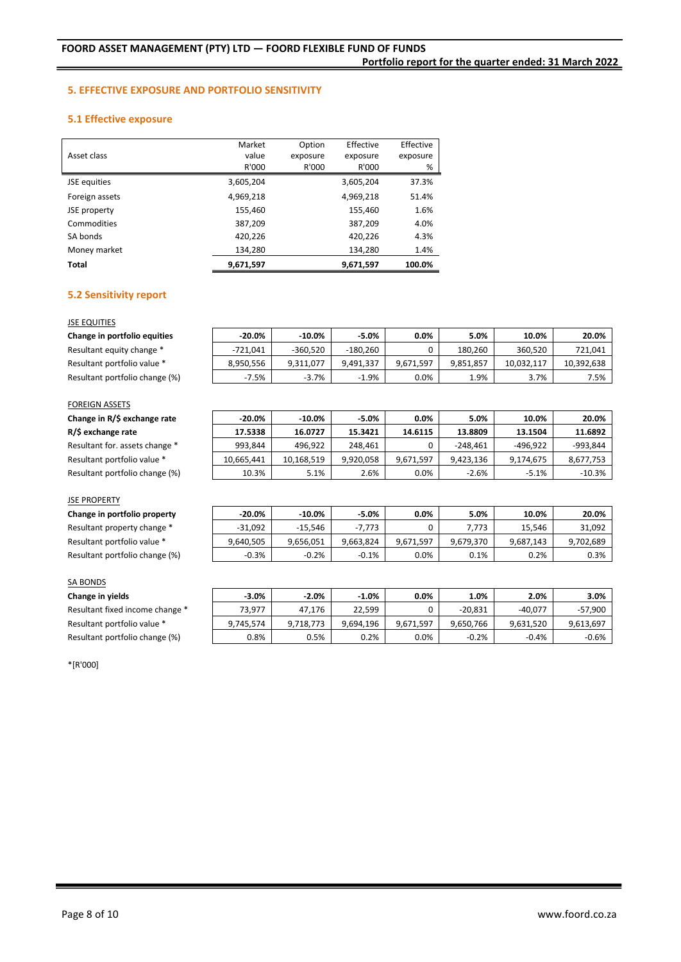**Portfolio report for the quarter ended: 31 March 2022**

#### **5. EFFECTIVE EXPOSURE AND PORTFOLIO SENSITIVITY**

# **5.1 Effective exposure**

| Asset class    | Market<br>value<br>R'000 | Option<br>exposure<br>R'000 | Effective<br>exposure<br>R'000 | Effective<br>exposure<br>% |
|----------------|--------------------------|-----------------------------|--------------------------------|----------------------------|
| JSE equities   | 3,605,204                |                             | 3,605,204                      | 37.3%                      |
| Foreign assets | 4,969,218                |                             | 4,969,218                      | 51.4%                      |
| JSE property   | 155,460                  |                             | 155,460                        | 1.6%                       |
| Commodities    | 387,209                  |                             | 387,209                        | 4.0%                       |
| SA bonds       | 420,226                  |                             | 420,226                        | 4.3%                       |
| Money market   | 134,280                  |                             | 134,280                        | 1.4%                       |
| Total          | 9,671,597                |                             | 9,671,597                      | 100.0%                     |

# **5.2 Sensitivity report**

#### **JSE EQUITIES**

| Change in portfolio equities   | -20.0%    | $-10.0\%$  | $-5.0%$    | $0.0\%$   | 5.0%      | 10.0%      | 20.0%      |
|--------------------------------|-----------|------------|------------|-----------|-----------|------------|------------|
| Resultant equity change *      | -721.041  | $-360.520$ | $-180.260$ |           | 180.260   | 360.520    | 721.041    |
| Resultant portfolio value *    | 8.950.556 | 9.311.077  | 9.491.337  | 9.671.597 | 9.851.857 | 10.032.117 | 10.392.638 |
| Resultant portfolio change (%) | -7.5%     | $-3.7%$    | $-1.9%$    | $0.0\%$   | 1.9%      | 3.7%       | 7.5%       |

#### FOREIGN ASSETS

| Change in R/\$ exchange rate   | -20.0%     | -10.0%     | $-5.0%$   | 0.0%      | 5.0%       | 10.0%     | 20.0%     |
|--------------------------------|------------|------------|-----------|-----------|------------|-----------|-----------|
| R/\$ exchange rate             | 17.5338    | 16.0727    | 15.3421   | 14.6115   | 13.8809    | 13.1504   | 11.6892   |
| Resultant for. assets change * | 993.844    | 496.922    | 248.461   |           | $-248.461$ | -496.922  | -993,844  |
| Resultant portfolio value *    | 10.665.441 | 10,168,519 | 9.920.058 | 9,671,597 | 9,423,136  | 9,174,675 | 8,677,753 |
| Resultant portfolio change (%) | 10.3%      | 5.1%       | 2.6%      | $0.0\%$   | $-2.6%$    | $-5.1%$   | $-10.3%$  |

#### JSE PROPERTY

 $$ Resultant property change \* Resultant portfolio value \* Resultant portfolio change (%)

Resultant fixed income change \* Resultant portfolio value \* Resultant portfolio change (%)

| $-20.0%$  | $-10.0\%$ | $-5.0%$   | $0.0\%$   | 5.0%      | 10.0%     | 20.0%     |
|-----------|-----------|-----------|-----------|-----------|-----------|-----------|
| $-31.092$ | $-15.546$ | $-7.773$  |           | 7,773     | 15.546    | 31,092    |
| 9.640.505 | 9,656,051 | 9.663.824 | 9.671.597 | 9.679.370 | 9,687,143 | 9,702,689 |
| $-0.3%$   | $-0.2%$   | $-0.1%$   | $0.0\%$   | 0.1%      | 0.2%      | 0.3%      |

# SA BONDS

**Change in yields -3.0% -2.0% -1.0% 0.0% 1.0% 2.0% 3.0%**

| $-3.0%$   | $-2.0%$   | $-1.0%$   | $0.0\%$   | 1.0%      | 2.0%      | 3.0%      |
|-----------|-----------|-----------|-----------|-----------|-----------|-----------|
| 73.977    | 47.176    | 22.599    |           | $-20.831$ | $-40.077$ | $-57,900$ |
| 9,745,574 | 9.718.773 | 9.694.196 | 9.671.597 | 9.650.766 | 9,631,520 | 9,613,697 |
| 0.8%      | 0.5%      | 0.2%      | $0.0\%$   | $-0.2%$   | $-0.4%$   | $-0.6%$   |

\*[R'000]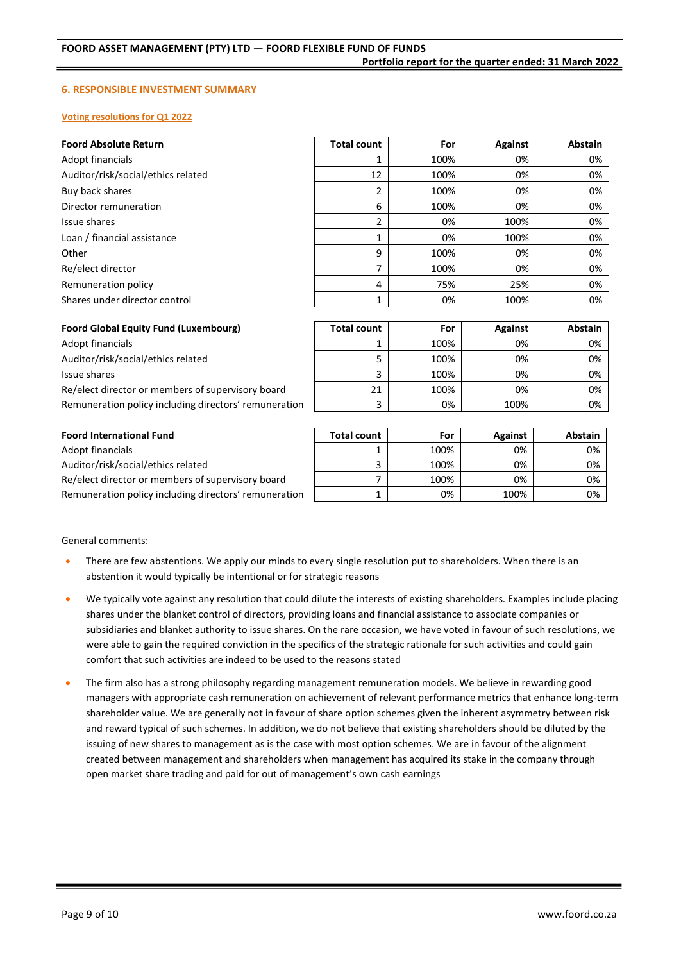#### **6. RESPONSIBLE INVESTMENT SUMMARY**

#### **Voting resolutions for Q1 2022**

| <b>Foord Absolute Return</b>                 | <b>Total count</b> | For  | Against        | Abstain       |
|----------------------------------------------|--------------------|------|----------------|---------------|
| Adopt financials                             |                    | 100% | 0%             | 0%            |
| Auditor/risk/social/ethics related           | 12                 | 100% | 0%             | 0%            |
| Buy back shares                              | 2                  | 100% | 0%             | 0%            |
| Director remuneration                        | 6                  | 100% | 0%             | 0%            |
| Issue shares                                 | 2                  | 0%   | 100%           | 0%            |
| Loan / financial assistance                  | 1                  | 0%   | 100%           | 0%            |
| Other                                        | 9                  | 100% | 0%             | 0%            |
| Re/elect director                            | 7                  | 100% | 0%             | 0%            |
| Remuneration policy                          | 4                  | 75%  | 25%            | 0%            |
| Shares under director control                | 1                  | 0%   | 100%           | 0%            |
|                                              |                    |      |                |               |
| <b>Foord Global Equity Fund (Luxembourg)</b> | <b>Total count</b> | For  | <b>Against</b> | Abstain       |
| Adopt financials                             | 1                  | 100% | 0%             | 0%            |
| Auditor/risk/social/ethics related           | 5                  | 100% | 0%             | 0%            |
| Issue shares                                 | 3                  | 100% | 0%             | 0%            |
|                                              | $\sim$ $\sim$      | 1000 | $\sim$ $\sim$  | $\sim$ $\sim$ |

Re/elect director or members of supervisory board  $\vert$  21 100% 0% Remuneration policy including directors' remuneration | 3 | 0% | 100% | 0%

#### **Foord International Fund**

Adopt financials Auditor/risk/social/ethics related Re/elect director or members of supervisory board Remuneration policy including directors' remuneration

| <b>Total count</b> | For  | <b>Against</b> | Abstain |
|--------------------|------|----------------|---------|
|                    | 100% | 0%             | 0%      |
|                    | 100% | 0%             | 0%      |
|                    | 100% | 0%             | 0%      |
|                    | 0%   | 100%           | 0%      |

#### General comments:

- There are few abstentions. We apply our minds to every single resolution put to shareholders. When there is an abstention it would typically be intentional or for strategic reasons
- We typically vote against any resolution that could dilute the interests of existing shareholders. Examples include placing shares under the blanket control of directors, providing loans and financial assistance to associate companies or subsidiaries and blanket authority to issue shares. On the rare occasion, we have voted in favour of such resolutions, we were able to gain the required conviction in the specifics of the strategic rationale for such activities and could gain comfort that such activities are indeed to be used to the reasons stated
- The firm also has a strong philosophy regarding management remuneration models. We believe in rewarding good managers with appropriate cash remuneration on achievement of relevant performance metrics that enhance long-term shareholder value. We are generally not in favour of share option schemes given the inherent asymmetry between risk and reward typical of such schemes. In addition, we do not believe that existing shareholders should be diluted by the issuing of new shares to management as is the case with most option schemes. We are in favour of the alignment created between management and shareholders when management has acquired its stake in the company through open market share trading and paid for out of management's own cash earnings